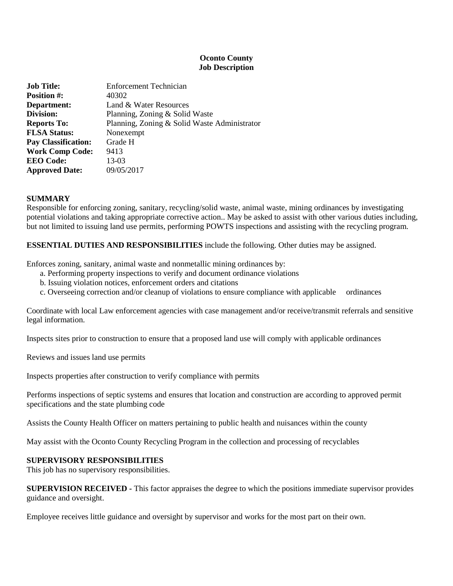## **Oconto County Job Description**

| <b>Job Title:</b>          | <b>Enforcement Technician</b>                |
|----------------------------|----------------------------------------------|
| <b>Position #:</b>         | 40302                                        |
| Department:                | Land & Water Resources                       |
| Division:                  | Planning, Zoning & Solid Waste               |
| <b>Reports To:</b>         | Planning, Zoning & Solid Waste Administrator |
| <b>FLSA Status:</b>        | Nonexempt                                    |
| <b>Pay Classification:</b> | Grade H                                      |
| <b>Work Comp Code:</b>     | 9413                                         |
| <b>EEO</b> Code:           | 13-03                                        |
| <b>Approved Date:</b>      | 09/05/2017                                   |

#### **SUMMARY**

Responsible for enforcing zoning, sanitary, recycling/solid waste, animal waste, mining ordinances by investigating potential violations and taking appropriate corrective action.. May be asked to assist with other various duties including, but not limited to issuing land use permits, performing POWTS inspections and assisting with the recycling program.

## **ESSENTIAL DUTIES AND RESPONSIBILITIES** include the following. Other duties may be assigned.

Enforces zoning, sanitary, animal waste and nonmetallic mining ordinances by:

- a. Performing property inspections to verify and document ordinance violations
- b. Issuing violation notices, enforcement orders and citations
- c. Overseeing correction and/or cleanup of violations to ensure compliance with applicable ordinances

Coordinate with local Law enforcement agencies with case management and/or receive/transmit referrals and sensitive legal information.

Inspects sites prior to construction to ensure that a proposed land use will comply with applicable ordinances

Reviews and issues land use permits

Inspects properties after construction to verify compliance with permits

Performs inspections of septic systems and ensures that location and construction are according to approved permit specifications and the state plumbing code

Assists the County Health Officer on matters pertaining to public health and nuisances within the county

May assist with the Oconto County Recycling Program in the collection and processing of recyclables

#### **SUPERVISORY RESPONSIBILITIES**

This job has no supervisory responsibilities.

**SUPERVISION RECEIVED -** This factor appraises the degree to which the positions immediate supervisor provides guidance and oversight.

Employee receives little guidance and oversight by supervisor and works for the most part on their own.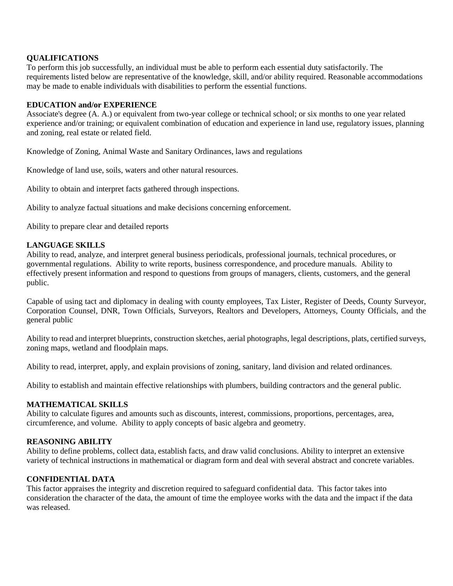## **QUALIFICATIONS**

To perform this job successfully, an individual must be able to perform each essential duty satisfactorily. The requirements listed below are representative of the knowledge, skill, and/or ability required. Reasonable accommodations may be made to enable individuals with disabilities to perform the essential functions.

## **EDUCATION and/or EXPERIENCE**

Associate's degree (A. A.) or equivalent from two-year college or technical school; or six months to one year related experience and/or training; or equivalent combination of education and experience in land use, regulatory issues, planning and zoning, real estate or related field.

Knowledge of Zoning, Animal Waste and Sanitary Ordinances, laws and regulations

Knowledge of land use, soils, waters and other natural resources.

Ability to obtain and interpret facts gathered through inspections.

Ability to analyze factual situations and make decisions concerning enforcement.

Ability to prepare clear and detailed reports

#### **LANGUAGE SKILLS**

Ability to read, analyze, and interpret general business periodicals, professional journals, technical procedures, or governmental regulations. Ability to write reports, business correspondence, and procedure manuals. Ability to effectively present information and respond to questions from groups of managers, clients, customers, and the general public.

Capable of using tact and diplomacy in dealing with county employees, Tax Lister, Register of Deeds, County Surveyor, Corporation Counsel, DNR, Town Officials, Surveyors, Realtors and Developers, Attorneys, County Officials, and the general public

Ability to read and interpret blueprints, construction sketches, aerial photographs, legal descriptions, plats, certified surveys, zoning maps, wetland and floodplain maps.

Ability to read, interpret, apply, and explain provisions of zoning, sanitary, land division and related ordinances.

Ability to establish and maintain effective relationships with plumbers, building contractors and the general public.

#### **MATHEMATICAL SKILLS**

Ability to calculate figures and amounts such as discounts, interest, commissions, proportions, percentages, area, circumference, and volume. Ability to apply concepts of basic algebra and geometry.

### **REASONING ABILITY**

Ability to define problems, collect data, establish facts, and draw valid conclusions. Ability to interpret an extensive variety of technical instructions in mathematical or diagram form and deal with several abstract and concrete variables.

#### **CONFIDENTIAL DATA**

This factor appraises the integrity and discretion required to safeguard confidential data. This factor takes into consideration the character of the data, the amount of time the employee works with the data and the impact if the data was released.